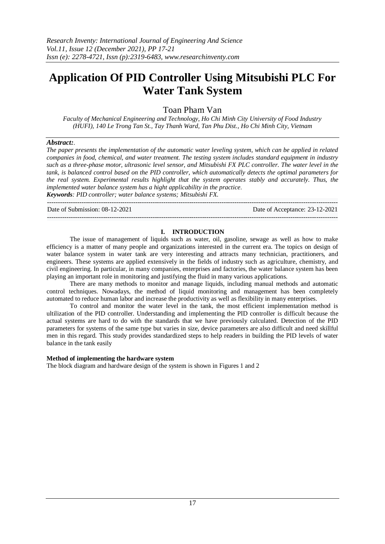---------------------------------------------------------------------------------------------------------------------------------------

# **Application Of PID Controller Using Mitsubishi PLC For Water Tank System**

Toan Pham Van

*Faculty of Mechanical Engineering and Technology, Ho Chi Minh City University of Food Industry (HUFI), 140 Le Trong Tan St., Tay Thanh Ward, Tan Phu Dist., Ho Chi Minh City, Vietnam*

## *Abstract:.*

*The paper presents the implementation of the automatic water leveling system, which can be applied in related companies in food, chemical, and water treatment. The testing system includes standard equipment in industry such as a three-phase motor, ultrasonic level sensor, and Mitsubishi FX PLC controller. The water level in the tank, is balanced control based on the PID controller, which automatically detects the optimal parameters for the real system. Experimental results highlight that the system operates stably and accurately. Thus, the implemented water balance system has a hight applicability in the practice. Keywords: PID controller; water balance systems; Mitsubishi FX.*

Date of Submission: 08-12-2021 Date of Acceptance: 23-12-2021

## **I. INTRODUCTION**

---------------------------------------------------------------------------------------------------------------------------------------

The issue of management of liquids such as water, oil, gasoline, sewage as well as how to make efficiency is a matter of many people and organizations interested in the current era. The topics on design of water balance system in water tank are very interesting and attracts many technician, practitioners, and engineers. These systems are applied extensively in the fields of industry such as agriculture, chemistry, and civil engineering. In particular, in many companies, enterprises and factories, the water balance system has been playing an important role in monitoring and justifying the fluid in many various applications.

There are many methods to monitor and manage liquids, including manual methods and automatic control techniques. Nowadays, the method of liquid monitoring and management has been completely automated to reduce human labor and increase the productivity as well as flexibility in many enterprises.

To control and monitor the water level in the tank, the most efficient implementation method is ultilization of the PID controller. Understanding and implementing the PID controller is difficult because the actual systems are hard to do with the standards that we have previously calculated. Detection of the PID parameters for systems of the same type but varies in size, device parameters are also difficult and need skillful men in this regard. This study provides standardized steps to help readers in building the PID levels of water balance in the tank easily

#### **Method of implementing the hardware system**

The block diagram and hardware design of the system is shown in Figures 1 and 2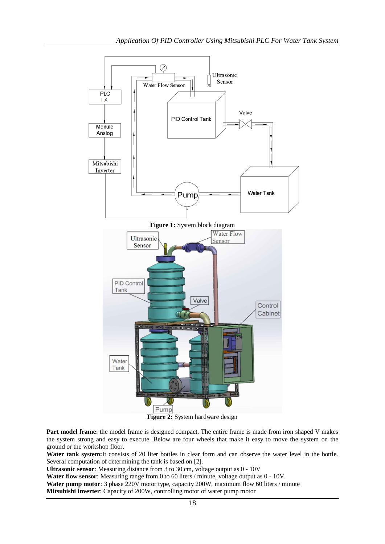

Part model frame: the model frame is designed compact. The entire frame is made from iron shaped V makes the system strong and easy to execute. Below are four wheels that make it easy to move the system on the ground or the workshop floor.

**Water tank system:**It consists of 20 liter bottles in clear form and can observe the water level in the bottle. Several computation of determining the tank is based on [2].

**Ultrasonic sensor**: Measuring distance from 3 to 30 cm, voltage output as 0 - 10V

**Water flow sensor**: Measuring range from 0 to 60 liters / minute, voltage output as 0 - 10V.

**Water pump motor**: 3 phase 220V motor type, capacity 200W, maximum flow 60 liters / minute

**Mitsubishi inverter**: Capacity of 200W, controlling motor of water pump motor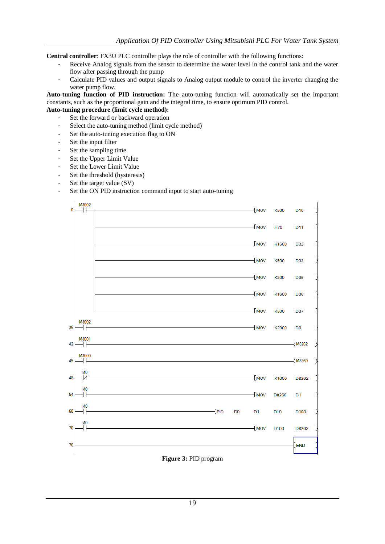**Central controller**: FX3U PLC controller plays the role of controller with the following functions:

- Receive Analog signals from the sensor to determine the water level in the control tank and the water flow after passing through the pump
- Calculate PID values and output signals to Analog output module to control the inverter changing the water pump flow.

**Auto-tuning function of PID instruction:** The auto-tuning function will automatically set the important constants, such as the proportional gain and the integral time, to ensure optimum PID control.

# **Auto-tuning procedure (limit cycle method):**

- Set the forward or backward operation
- Select the auto-tuning method (limit cycle method)
- Set the auto-tuning execution flag to ON
- Set the input filter
- Set the sampling time
- Set the Upper Limit Value
- Set the Lower Limit Value
- Set the threshold (hysteresis)
- Set the target value (SV)
- Set the ON PID instruction command input to start auto-tuning

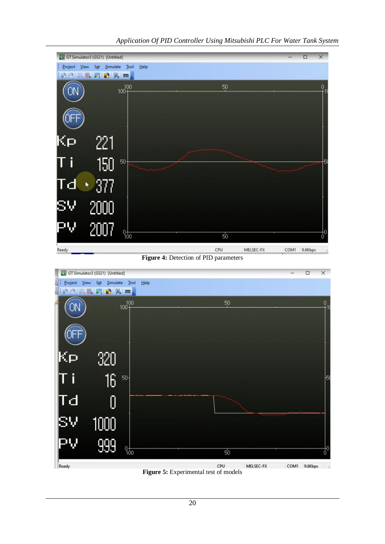

CPU **Figure 5:** Experimental test of models